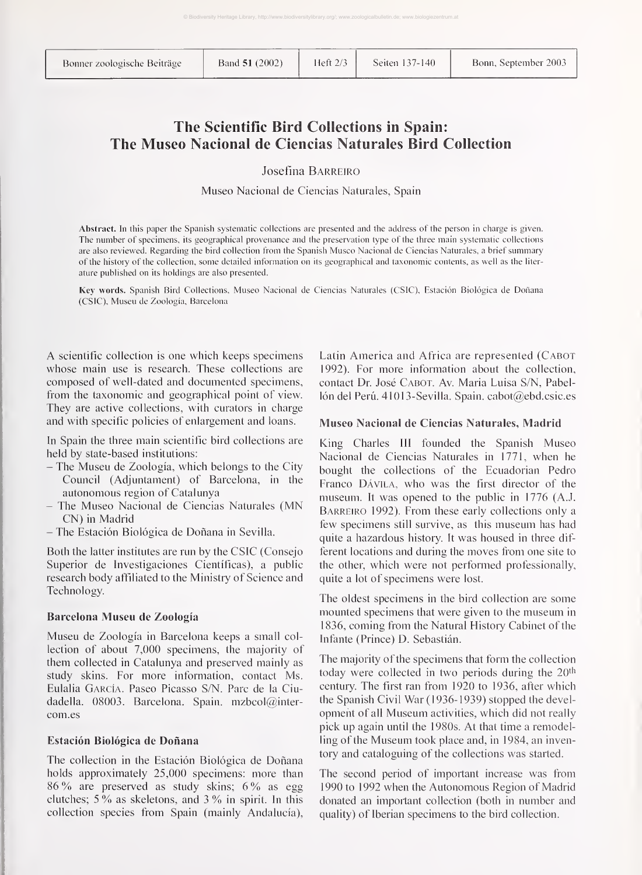# The Scientific Bird Collections in Spain: The Museo Nacional de Ciencias Naturales Bird Collection

Josefina Barreiro

Museo Nacional de Ciencias Naturales, Spain

Abstract. In this paper the Spanish systematic collections are presented and the address of the person in charge is given. The number of specimens, its geographical provenance and the preservation type of the three main systematic collections are also reviewed. Regarding the bird collection from the Spanish Museo Nacional de Ciencias Naturales, a brief summary of the history of the collection, some detailed information on its geographical and taxonomic contents, as well as the literature published on its holdings are also presented.

Key words. Spanish Bird Collections, Museo Nacional de Ciencias Naturales (CSIC), Estación Biológica de Doñana (CSIC), Museu de Zoología, Barcelona

A scientific collection is one which keeps specimens whose main use is research. These collections are composed of well-dated and documented specimens, from the taxonomic and geographical point of view. They are active collections, with curators in charge and with specific policies of enlargement and loans.

In Spain the three main scientific bird collections are held by state-based institutions:

- The Museu de Zoología, which belongs to the City Council (Adjuntament) of Barcelona, in the autonomous region of Catalunya
- The Museo Nacional de Ciencias Naturales (MN CN) in Madrid
- The Estación Biológica de Doñana in Sevilla.

Both the latter institutes are run by the CSIC (Consejo Superior de Investigaciones Científicas), a public research body affiliated to the Ministry of Science and Technology.

#### Barcelona Museu de Zoología

Museu de Zoología in Barcelona keeps a small collection of about 7,000 specimens, the majority of them collected in Catalunya and preserved mainly as study skins. For more information, contact Ms. Eulalia García. Paseo Picasso S/N. Pare de la Ciudadella. 08003. Barcelona. Spain. mzbcol@intercom.es

# Estación Biológica de Doñana

The collection in the Estación Biológica de Doñana holds approximately 25,000 specimens: more than <sup>86</sup> % are preserved as study skins; <sup>6</sup> % as egg clutches;  $5\%$  as skeletons, and  $3\%$  in spirit. In this collection species from Spain (mainly Andalucía), Latin America and Africa are represented (Cabot 1992). For more information about the collection, contact Dr. José Cabot. Av. Maria Luisa S/N, Pabellón del Perú. 41013-Sevilla. Spain. cabot $(\partial \phi)$ ebd. csic.es

#### Museo Nacional de Ciencias Naturales, Madrid

King Charles III founded the Spanish Museo Nacional de Ciencias Naturales in 1771, when he bought the collections of the Ecuadorian Pedro Franco Dávila, who was the first director of the museum. It was opened to the public in 1776 (A.J. Barreiro 1992). From these early collections only a few specimens still survive, as this museum has had quite a hazardous history. It was housed in three different locations and during the moves from one site to the other, which were not performed professionally, quite a lot of specimens were lost.

The oldest specimens in the bird collection are some mounted specimens that were given to the museum in 1836, coming from the Natural History Cabinet of the Infante (Prince) D. Sebastián.

The majority of the specimens that form the collection today were collected in two periods during the  $20<sup>th</sup>$ century. The first ran from 1920 to 1936, after which the Spanish Civil War (1936-1939) stopped the development of all Museum activities, which did not really pick up again until the 1980s. At that time a remodelling of the Museum took place and, in 1984, an inventory and cataloguing of the collections was started.

The second period of important increase was from 1990 to 1992 when the Autonomous Region of Madrid donated an important collection (both in number and quality) of Iberian specimens to the bird collection.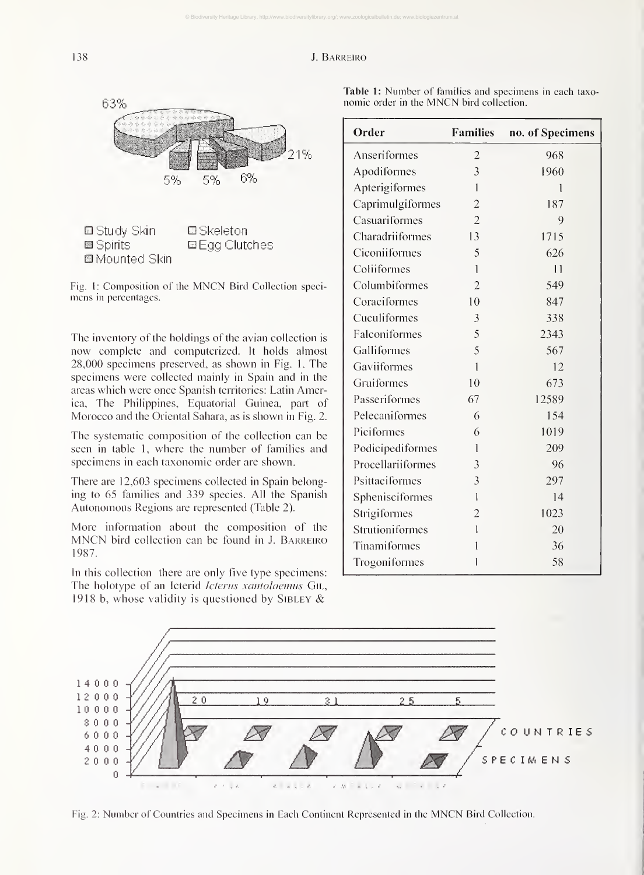© Biodiversity Heritage Library, http://www.biodiversitylibrary.org/; www.zoologicalbulletin.de; www.biologiezentrum.at



Fig. 1: Composition of the MNCN Bird Collection speci mens in percentages.

The inventory of the holdings of the avian collection is now complete and computerized. It holds almost 28,000 specimens preserved, as shown in Fig. 1. The specimens were collected mainly in Spain and in the areas which were once Spanish territories: Latin America, The Philippines, Equatorial Guinea, part of Morocco and the Oriental Sahara, as is shown in Fig. 2.

The systematic composition of the collection can be seen in table 1, where the number of families and specimens in each taxonomic order are shown.

There are 12,603 specimens collected in Spain belonging to 65 families and 339 species. All the Spanish Autonomous Regions are represented (Table 2).

More information about the composition of the MNCN bird collection can be found in J. Barreiro 1987.

In this collection there are only five type specimens: The holotype of an Icterid Icterus xantolaemus GIL, 1918 b, whose validity is questioned by SIBLEY  $\&$ 

|                                          |  |  |  |  | Table 1: Number of families and specimens in each taxo- |  |  |
|------------------------------------------|--|--|--|--|---------------------------------------------------------|--|--|
| nomic order in the MNCN bird collection. |  |  |  |  |                                                         |  |  |

| Order             | <b>Families</b> | no. of Specimens |  |  |
|-------------------|-----------------|------------------|--|--|
| Anseriformes      | $\overline{2}$  | 968              |  |  |
| Apodiformes       | $\overline{3}$  | 1960             |  |  |
| Apterigiformes    | 1               | 1                |  |  |
| Caprimulgiformes  | $\overline{2}$  | 187              |  |  |
| Casuariformes     | $\overline{2}$  | 9                |  |  |
| Charadriiformes   | 13              | 1715             |  |  |
| Ciconiiformes     | 5               | 626              |  |  |
| Coliiformes       | $\mathbf{1}$    | 11               |  |  |
| Columbiformes     | $\overline{2}$  | 549              |  |  |
| Coraciformes      | 10              | 847              |  |  |
| Cuculiformes      | $\overline{3}$  | 338              |  |  |
| Falconiformes     | 5               | 2343             |  |  |
| Galliformes       | 5               | 567              |  |  |
| Gaviiformes       | $\mathbf{1}$    | 12               |  |  |
| Gruiformes        | 10              | 673              |  |  |
| Passeriformes     | 67              | 12589            |  |  |
| Pelecaniformes    | 6               | 154              |  |  |
| Piciformes        | 6               | 1019             |  |  |
| Podicipediformes  | 1               | 209              |  |  |
| Procellariiformes | 3               | 96               |  |  |
| Psittaciformes    | 3               | 297              |  |  |
| Sphenisciformes   | $\mathbf{1}$    | 14               |  |  |
| Strigiformes      | $\overline{2}$  | 1023             |  |  |
| Strutioniformes   | 1               | 20               |  |  |
| Tinamiformes      | 1               | 36               |  |  |
| Trogoniformes     | 1               | 58               |  |  |



Fig. 2: Number of Countries and Specimens in Each Continent Represented in the MNCN Bird Collection.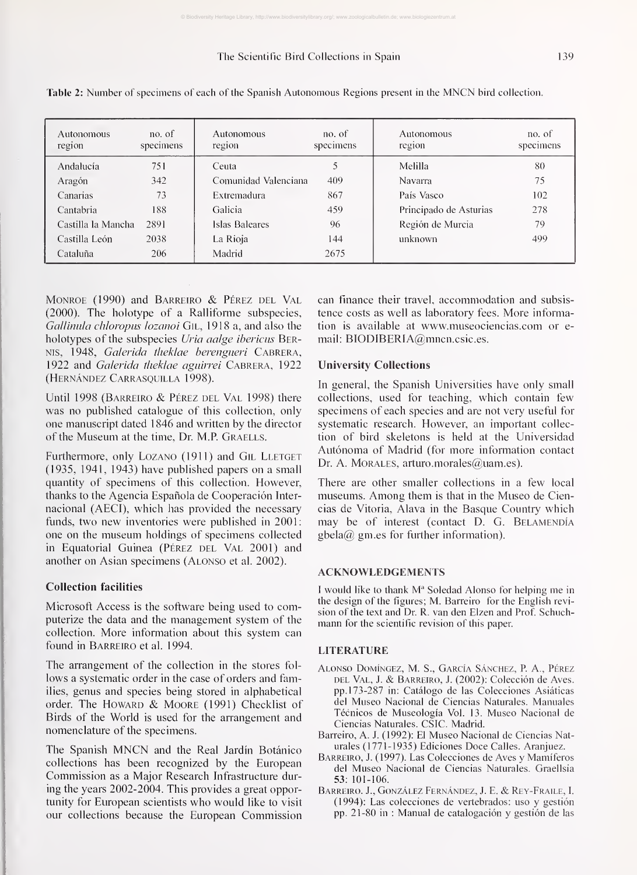© Biodiversity Heritage Library, http://www.biodiversitylibrary.org/; www.zoologicalbulletin.de; www.biologiezentrum.at

| Autonomous<br>region | no. of<br>specimens | Autonomous<br>region | no. of<br>specimens | Autonomous<br>region   | no. of<br>specimens |
|----------------------|---------------------|----------------------|---------------------|------------------------|---------------------|
| Andalucía            | 751                 | Ceuta                | 5                   | Melilla                | 80                  |
| Aragón               | 342                 | Comunidad Valenciana | 409                 | Navarra                | 75                  |
| Canarias             | 73                  | Extremadura          | 867                 | País Vasco             | 102                 |
| Cantabria            | 188.                | Galicia              | 459                 | Principado de Asturias | 278                 |
| Castilla la Mancha   | 2891                | Islas Baleares       | 96                  | Región de Murcia       | 79                  |
| Castilla León        | 2038                | La Rioja             | 144                 | unknown                | 499                 |
| Cataluña             | 206                 | Madrid               | 2675                |                        |                     |

Table 2: Number of specimens of each of the Spanish Autonomous Regions present in the MNCN bird collection.

Monroe (1990) and Barreiro & Pérez del Val (2000). The holotype of a Ralliforme subspecies, Gallinula chloropus lozanoi GIL, 1918 a, and also the holotypes of the subspecies Uria aalge ibericus BER-Nis, 1948, Galerida theklae berengueri Cabrera, 1922 and *Galerida theklae aguirrei* CABRERA, 1922 (Hernández Carrasquilla 1998).

Until <sup>1998</sup> (Barreiro & Pérez del Val 1998) there was no published catalogue of this collection, only one manuscript dated <sup>1</sup> 846 and written by the director of the Museum at the time, Dr. M.P. GRAELLS.

Furthermore, only LOZANO (1911) and GIL LLETGET (1935, 1941, 1943) have published papers on a small quantity of specimens of this collection. However, thanks to the Agencia Española de Cooperación Inter nacional (AECI), which has provided the necessary funds, two new inventories were published in 2001: one on the museum holdings of specimens collected in Equatorial Guinea (Pérez DEL VAL 2001) and another on Asian specimens (Alonso et al. 2002).

#### Collection facilities

Microsoft Access is the software being used to computerize the data and the management system of the collection. More information about this system can found in Barreiro et al. 1994.

The arrangement of the collection in the stores fol lows a systematic order in the case of orders and families, genus and species being stored in alphabetical order. The HOWARD & MOORE (1991) Checklist of Birds of the World is used for the arrangement and nomenclature of the specimens.

The Spanish MNCN and the Real Jardín Botánico collections has been recognized by the European Commission as a Major Research Infrastructure during the years 2002-2004. This provides a great opportunity for European scientists who would like to visit our collections because the European Commission can finance their travel, accommodation and subsistence costs as well as laboratory fees. More information is available at www.museociencias.com or e mail: BIODIBERIA@mncn.csic.es.

### University Collections

In general, the Spanish Universities have only small collections, used for teaching, which contain few specimens of each species and are not very useful for systematic research. However, an important collection of bird skeletons is held at the Universidad Autónoma of Madrid (for more information contact Dr. A. MORALES, arturo.morales@uam.es).

There are other smaller collections in a few local museums. Among them is that in the Museo de Ciencias de Vitoria, Alava in the Basque Country which may be of interest (contact D. G. BELAMENDÍA  $gbela@gm.es for further information).$ 

#### ACKNOWLEDGEMENTS

<sup>I</sup> would like to thank M" Soledad Alonso for helping me in the design of the figures; M. Barreiro for the English revi sion of the text and Dr. R. van den Elzen and Prof. Schuchmann for the scientific revision of this paper.

## LITERATURE

- Alonso Domíngez, M. S., García Sánchez, P. A., Pérez del Val, J. & Barreiro, J. (2002): Colección de Aves, pp. 173-287 in: Catálogo de las Colecciones Asiáticas del Museo Nacional de Ciencias Naturales. Manuales Técnicos de Museología Vol. 13. Museo Nacional de Ciencias Naturales. CSIC. Madrid.
- Barreiro, A. J. (1992): El Museo Nacional de Ciencias Naturales (1771-1935) Ediciones Doce Calles. Aranjuez.
- Barreiro, J. (1997). Las Colecciones de Aves y Mamíferos del Museo Nacional de Ciencias Naturales. Graellsia 53: 101-106.
- Barreiro. J., González Fernández, J. E. & Rey-Fraile, I. (1994): Las colecciones de vertebrados: uso y gestión pp. 21-80 in : Manual de catalogación y gestión de las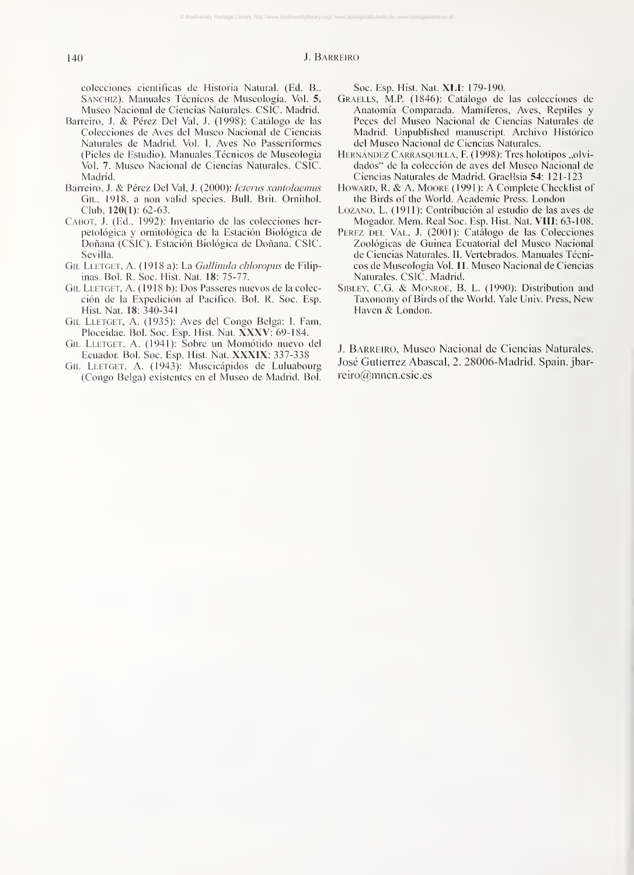© Biodiversity Heritage Library, http://www.biodiversitylibrary.org/; www.zoologicalbulletin.de; www.biologiezentrum.at

colecciones científicas de Historia Natural. (Ed. B.. Sanchiz). Manuales Técnicos de Museología. Vol. 5. Museo Nacional de Ciencias Naturales. CSIC. Madrid.

- Barreiro, J. & Pérez Del Val, J. (1998): Catálogo de las Colecciones de Aves del Museo Nacional de Ciencias Naturales de Madrid. Vol. 1. Aves No Passeriformes (Pieles de Estudio). Manuales Técnicos de Museología Vol. 7. Museo Nacional de Ciencias Naturales. CSIC. Madrid.
- Barreiro, J. & Pérez Del Val, J. (2000): Icterus xantolaemus Gil, 1918, a non valid species. Bull. Brit. Ornithol. Club, 120(1): 62-63.
- Cabot, J. (Ed., 1992): Inventario de las colecciones herpetológica y ornitológica de la Estación Biológica de Doñana (CSIC). Estación Biológica de Doñana. CSIC. Sevilla.
- GIL LLETGET, A. (1918 a): La Gallinula chloropus de Filipinas. Bol. R. Soc. Hist. Nat. 18: 75-77.
- GIL LLETGET, A. (1918 b): Dos Passeres nuevos de la colección de la Expedición al Pacífico. Bol. R. Soc. Esp. Hist. Nat. 18: 340-341
- Gil Lletget, A. (1935): Aves del Congo Belga: 1. Fam. Ploceidae. Bol. Soc. Esp. Hist. Nat. XXXV: 69-184.
- Gil Lletget, A. (1941): Sobre un Momótido nuevo del Ecuador. Bol. Soc. Esp. Hist. Nat. XXXIX: 337-338
- GIL LLETGET, A. (1943): Muscicápidos de Luluabourg (Congo Belga) existentes en el Museo de Madrid. Bol.

Soc. Esp. Hist. Nat. XLI: 179-190.

- Graells, M.P. (1846): Catálogo de las colecciones de Anatomía Comparada. Mamíferos, Aves, Reptiles y Peces del Museo Nacional de Ciencias Naturales de Madrid. Unpublished manuscript. Archivo Histórico del Museo Nacional de Ciencias Naturales.
- HERNÁNDEZ CARRASQUILLA, F. (1998): Tres holotipos "olvidados" de la colección de aves del Museo Nacional de Ciencias Naturales de Madrid. Graelisia 54: 121-123
- HOWARD, R. & A. MOORE (1991): A Complete Checklist of the Birds of the World. Academic Press. London
- Lozano, L. (1911): Contribución al estudio de las aves de Mogadon Mem. Real Soc. Esp. Hist. Nat. VIII: 63-108.
- PÉREZ DEL VAL, J. (2001): Catálogo de las Colecciones Zoológicas de Guinea Ecuatorial del Museo Nacional de Ciencias Naturales. IL Vertebrados. Manuales Técnicos de Museología Vol. 11. Museo Nacional de Ciencias Naturales. CSIC. Madrid.
- SIBLEY, C.G. & MONROE, B. L. (1990): Distribution and Taxonomy of Birds of the World. Yale Univ. Press, New Haven & London.

J. Barreiro, Museo Nacional de Ciencias Naturales. José Gutierrez Abascal, 2. 28006-Madrid. Spain, jbarreiro@mncn.csic.es